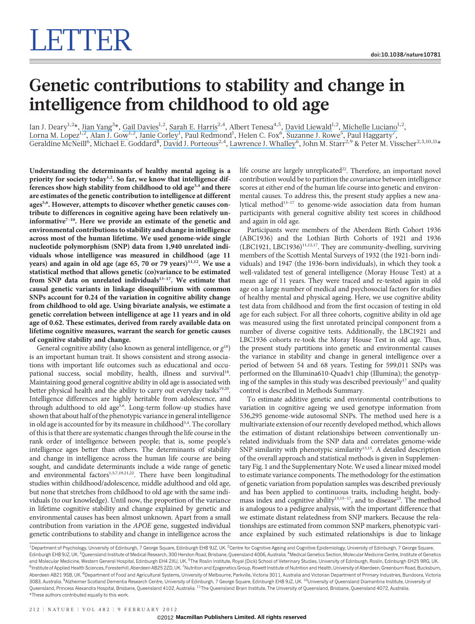## Genetic contributions to stability and change in intelligence from childhood to old age

Ian J. Deary<sup>1,2</sup>\*, <u>Jian Yang<sup>3</sup>\*, Gail Davies<sup>1,2</sup>, Sarah E. Harris<sup>2,4</sup>, Albert Tenesa<sup>4,5</sup>, <u>David Liewald<sup>1,2</sup>, [Michelle Luciano](https://www.researchgate.net/profile/Michelle_Luciano?el=1_x_100&enrichId=rgreq-86a6ec318dbf1e049e92d79e3707bf43-XXX&enrichSource=Y292ZXJQYWdlOzIyMTc2MDIyNjtBUzoxMDE5OTkxNzc2MzM4MTBAMTQwMTMyOTkwNzc2NA==)<sup>1,2</sup>,</u></u> Lorna M. Lopez<sup>1,2</sup>, [Alan J. Gow](https://www.researchgate.net/profile/Alan_Gow?el=1_x_100&enrichId=rgreq-86a6ec318dbf1e049e92d79e3707bf43-XXX&enrichSource=Y292ZXJQYWdlOzIyMTc2MDIyNjtBUzoxMDE5OTkxNzc2MzM4MTBAMTQwMTMyOTkwNzc2NA==)<sup>1,2</sup>, Janie Corley<sup>1</sup>, Paul Redmond<sup>1</sup>, Helen C. Fox<sup>6</sup>, <mark>Suzanne J. Rowe<sup>5</sup>, Paul Haggarty<sup>7</sup>,</mark>  $\rm{Geraldine McNeil^6, Michael~E.~Goddard^8, David~J. Porteous^{2,4}, Lawrence~J. Whatley^6, John~M. Star^{2,9}~\&~ Peter~M. Visscher^{2,3,10,11*}$ 

Understanding the determinants of healthy mental ageing is a priority for society today<sup>1,2</sup>. So far, we know that intelligence differences show high stability from childhood to old age<sup>3,4</sup> and there are estimates of the genetic contribution to intelligence at different ages<sup>5,6</sup>. However, attempts to discover whether genetic causes contribute to differences in cognitive ageing have been relatively uninformative<sup> $7-10$ </sup>. Here we provide an estimate of the genetic and environmental contributions to stability and change in intelligence across most of the human lifetime. We used genome-wide single nucleotide polymorphism (SNP) data from 1,940 unrelated individuals whose intelligence was measured in childhood (age 11 years) and again in old age (age 65, 70 or 79 years)<sup>11,12</sup>. We use a statistical method that allows genetic (co)variance to be estimated from SNP data on unrelated individuals<sup>13-17</sup>. We estimate that causal genetic variants in linkage disequilibrium with common SNPs account for 0.24 of the variation in cognitive ability change from childhood to old age. Using bivariate analysis, we estimate a genetic correlation between intelligence at age 11 years and in old age of 0.62. These estimates, derived from rarely available data on lifetime cognitive measures, warrant the search for genetic causes of cognitive stability and change.

General cognitive ability (also known as general intelligence, or  $g^{18}$ ) is an important human trait. It shows consistent and strong associations with important life outcomes such as educational and occupational success, social mobility, health, illness and survival<sup>18</sup>. Maintaining good general cognitive ability in old age is associated with better physical health and the ability to carry out everyday tasks<sup>19,20</sup>. Intelligence differences are highly heritable from adolescence, and through adulthood to old age<sup>5,6</sup>. Long-term follow-up studies have shown that about half of the phenotypic variance in general intelligence in old age is accounted for by its measure in childhood<sup>3,4</sup>. The corollary of this is that there are systematic changes through the life course in the rank order of intelligence between people; that is, some people's intelligence ages better than others. The determinants of stability and change in intelligence across the human life course are being sought, and candidate determinants include a wide range of genetic and environmental factors<sup>1,5,7,19,21,22</sup>. There have been longitudinal studies within childhood/adolescence, middle adulthood and old age, but none that stretches from childhood to old age with the same individuals (to our knowledge). Until now, the proportion of the variance in lifetime cognitive stability and change explained by genetic and environmental causes has been almost unknown. Apart from a small contribution from variation in the APOE gene, suggested individual genetic contributions to stability and change in intelligence across the

life course are largely unreplicated<sup>22</sup>. Therefore, an important novel contribution would be to partition the covariance between intelligence scores at either end of the human life course into genetic and environmental causes. To address this, the present study applies a new analytical method $13-17$  to genome-wide association data from human participants with general cognitive ability test scores in childhood and again in old age.

Participants were members of the Aberdeen Birth Cohort 1936 (ABC1936) and the Lothian Birth Cohorts of 1921 and 1936  $(LBC1921, LBC1936)^{11,12,17}$ . They are community-dwelling, surviving members of the Scottish Mental Surveys of 1932 (the 1921-born individuals) and 1947 (the 1936-born individuals), in which they took a well-validated test of general intelligence (Moray House Test) at a mean age of 11 years. They were traced and re-tested again in old age on a large number of medical and psychosocial factors for studies of healthy mental and physical ageing. Here, we use cognitive ability test data from childhood and from the first occasion of testing in old age for each subject. For all three cohorts, cognitive ability in old age was measured using the first unrotated principal component from a number of diverse cognitive tests. Additionally, the LBC1921 and LBC1936 cohorts re-took the Moray House Test in old age. Thus, the present study partitions into genetic and environmental causes the variance in stability and change in general intelligence over a period of between 54 and 68 years. Testing for 599,011 SNPs was performed on the Illumina610-Quadv1 chip (Illumina); the genotyping of the samples in this study was described previously<sup>17</sup> and quality control is described in Methods Summary.

To estimate additive genetic and environmental contributions to variation in cognitive ageing we used genotype information from 536,295 genome-wide autosomal SNPs. The method used here is a multivariate extension of our recently developed method, which allows the estimation of distant relationships between conventionally unrelated individuals from the SNP data and correlates genome-wide SNP similarity with phenotypic similarity<sup>13,15</sup>. A detailed description of the overall approach and statistical methods is given in Supplementary Fig. 1 and the Supplementary Note. We used a linear mixed model to estimate variance components. The methodology for the estimation of genetic variation from population samples was described previously and has been applied to continuous traits, including height, bodymass index and cognitive ability<sup>13,15-17</sup>, and to disease<sup>23</sup>. The method is analogous to a pedigree analysis, with the important difference that we estimate distant relatedness from SNP markers. Because the relationships are estimated from common SNP markers, phenotypic variance explained by such estimated relationships is due to linkage

<sup>&</sup>lt;sup>1</sup>Department of Psychology, University of Edinburgh, 7 George Square, Edinburgh EH8 9JZ, UK. <sup>2</sup>Centre for Cognitive Ageing and Cognitive Epidemiology, University of Edinburgh, 7 George Square Edinburgh EH8 9JZ, UK. <sup>3</sup>Queensland Institute of Medical Research, 300 Herston Road, Brisbane, Queensland 4006, Australia. <sup>4</sup>Medical Genetics Section, Molecular Medicine Centre, Institute of Genetics and Molecular Medicine, Western General Hospital, Edinburgh EH4 2XU, UK. <sup>5</sup>The Roslin Institute, Royal (Dick) School of Veterinary Studies, University of Edinburgh, Roslin, Edinburgh EH25 9RG, UK. <sup>6</sup>Institute of Applied Health Sciences, Foresterhill, Aberdeen AB25 2ZD, UK. <sup>7</sup>Nutrition and Epigenetics Group, Rowett Institute of Nutrition and Health, University of Aberdeen, Greenburn Road, Bucksburn Aberdeen AB21 9SB, UK. <sup>8</sup>Department of Food and Agricultural Systems, University of Melbourne, Parkville, Victoria 3011, Australia and Victorian Department of Primary Industries, Bundoora, Victoria 3083, Australia. <sup>9</sup>Alzheimer Scotland Dementia Research Centre, University of Edinburgh, 7 George Square, Edinburgh EH8 9JZ, UK. <sup>10</sup>University of Queensland Diamantina Institute, University of Queensland, Princess Alexandra Hospital, Brisbane, Queensland 4102, Australia. <sup>11</sup>The Queensland Brain Institute, The University of Queensland, Brisbane, Queensland 4072, Australia. \*These authors contributed equally to this work.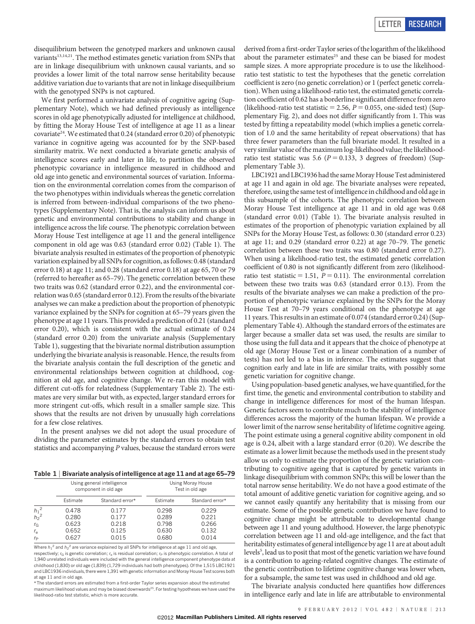disequilibrium between the genotyped markers and unknown causal variants<sup>13,14,21</sup>. The method estimates genetic variation from SNPs that are in linkage disequilibrium with unknown causal variants, and so provides a lower limit of the total narrow sense heritability because additive variation due to variants that are not in linkage disequilibrium with the genotyped SNPs is not captured.

We first performed a univariate analysis of cognitive ageing (Supplementary Note), which we had defined previously as intelligence scores in old age phenotypically adjusted for intelligence at childhood, by fitting the Moray House Test of intelligence at age 11 as a linear covariate<sup>24</sup>. We estimated that  $0.24$  (standard error  $0.20$ ) of phenotypic variance in cognitive ageing was accounted for by the SNP-based similarity matrix. We next conducted a bivariate genetic analysis of intelligence scores early and later in life, to partition the observed phenotypic covariance in intelligence measured in childhood and old age into genetic and environmental sources of variation. Information on the environmental correlation comes from the comparison of the two phenotypes within individuals whereas the genetic correlation is inferred from between-individual comparisons of the two phenotypes (Supplementary Note). That is, the analysis can inform us about genetic and environmental contributions to stability and change in intelligence across the life course. The phenotypic correlation between Moray House Test intelligence at age 11 and the general intelligence component in old age was 0.63 (standard error 0.02) (Table 1). The bivariate analysis resulted in estimates of the proportion of phenotypic variation explained by all SNPs for cognition, as follows: 0.48 (standard error 0.18) at age 11; and 0.28 (standard error 0.18) at age 65, 70 or 79 (referred to hereafter as 65–79). The genetic correlation between these two traits was 0.62 (standard error 0.22), and the environmental correlation was 0.65 (standard error 0.12). From the results of the bivariate analyses we can make a prediction about the proportion of phenotypic variance explained by the SNPs for cognition at 65–79 years given the phenotype at age 11 years. This provided a prediction of 0.21 (standard error 0.20), which is consistent with the actual estimate of 0.24 (standard error 0.20) from the univariate analysis (Supplementary Table 1), suggesting that the bivariate normal distribution assumption underlying the bivariate analysis is reasonable. Hence, the results from the bivariate analysis contain the full description of the genetic and environmental relationships between cognition at childhood, cognition at old age, and cognitive change. We re-ran this model with different cut-offs for relatedness (Supplementary Table 2). The estimates are very similar but with, as expected, larger standard errors for more stringent cut-offs, which result in a smaller sample size. This shows that the results are not driven by unusually high correlations for a few close relatives.

In the present analyses we did not adopt the usual procedure of dividing the parameter estimates by the standard errors to obtain test statistics and accompanying P values, because the standard errors were

Table 1 <sup>|</sup> Bivariate analysis of intelligence at age 11 and at age 65–79

|             |                                                    | ິ               | .                                    |                 |  |
|-------------|----------------------------------------------------|-----------------|--------------------------------------|-----------------|--|
|             | Using general intelligence<br>component in old age |                 | Using Moray House<br>Test in old age |                 |  |
|             | Estimate                                           | Standard error* | Estimate                             | Standard error* |  |
| ${h_1}^2$   | 0.478                                              | 0.177           | 0.298                                | 0.229           |  |
| $h_2^2$     | 0.280                                              | 0.177           | 0.289                                | 0.221           |  |
| $r_{\rm G}$ | 0.623                                              | 0.218           | 0.798                                | 0.266           |  |
| $r_{\rm e}$ | 0.652                                              | 0.125           | 0.630                                | 0.132           |  |
| $r_{\rm P}$ | 0.627                                              | 0.015           | 0.680                                | 0.014           |  |
|             |                                                    |                 |                                      |                 |  |

Where  ${h_1}^2$  and  ${h_2}^2$  are variance explained by all SNPs for intelligence at age  $11$  and old age, respectively;  $r_G$  is genetic correlation;  $r_e$  is residual correlation;  $r_P$  is phenotypic correlation. A total of 1,940 unrelated individuals were included with the general intelligence component phenotype data at childhood (1,830) or old age (1,839) (1,729 individuals had both phenotypes). Of the 1,515 LBC1921 and LBC1936 individuals, there were 1,391 with genetic information and Moray House Test scores both at age 11 and in old age.

\* The standard errors are estimated from a first-order Taylor series expansion about the estimated maximum likelihood values and may be biased downwards<sup>25</sup>. For testing hypotheses we have used the likelihood-ratio test statistic, which is more accurate.

derived from a first-order Taylor series of the logarithm of the likelihood about the parameter estimates<sup>25</sup> and these can be biased for modest sample sizes. A more appropriate procedure is to use the likelihoodratio test statistic to test the hypotheses that the genetic correlation coefficient is zero (no genetic correlation) or 1 (perfect genetic correlation).When using a likelihood-ratio test, the estimated genetic correlation coefficient of 0.62 has a borderline significant difference from zero (likelihood-ratio test statistic = 2.56,  $P = 0.055$ , one-sided test) (Supplementary Fig. 2), and does not differ significantly from 1. This was tested by fitting a repeatability model (which implies a genetic correlation of 1.0 and the same heritability of repeat observations) that has three fewer parameters than the full bivariate model. It resulted in a very similar value of the maximum log-likelihood value; the likelihoodratio test statistic was 5.6 ( $P = 0.133$ , 3 degrees of freedom) (Supplementary Table 3).

LBC1921 and LBC1936 had the same Moray House Test administered at age 11 and again in old age. The bivariate analyses were repeated, therefore, using the same test of intelligence in childhood and old age in this subsample of the cohorts. The phenotypic correlation between Moray House Test intelligence at age 11 and in old age was 0.68 (standard error 0.01) (Table 1). The bivariate analysis resulted in estimates of the proportion of phenotypic variation explained by all SNPs for the Moray House Test, as follows: 0.30 (standard error 0.23) at age 11; and 0.29 (standard error 0.22) at age 70–79. The genetic correlation between these two traits was 0.80 (standard error 0.27). When using a likelihood-ratio test, the estimated genetic correlation coefficient of 0.80 is not significantly different from zero (likelihoodratio test statistic = 1.51,  $P = 0.11$ ). The environmental correlation between these two traits was 0.63 (standard error 0.13). From the results of the bivariate analyses we can make a prediction of the proportion of phenotypic variance explained by the SNPs for the Moray House Test at 70–79 years conditional on the phenotype at age 11 years. This results in an estimate of 0.074 (standard error 0.24) (Supplementary Table 4). Although the standard errors of the estimates are larger because a smaller data set was used, the results are similar to those using the full data and it appears that the choice of phenotype at old age (Moray House Test or a linear combination of a number of tests) has not led to a bias in inference. The estimates suggest that cognition early and late in life are similar traits, with possibly some genetic variation for cognitive change.

Using population-based genetic analyses, we have quantified, for the first time, the genetic and environmental contribution to stability and change in intelligence differences for most of the human lifespan. Genetic factors seem to contribute much to the stability of intelligence differences across the majority of the human lifespan. We provide a lower limit of the narrow sense heritability of lifetime cognitive ageing. The point estimate using a general cognitive ability component in old age is 0.24, albeit with a large standard error (0.20). We describe the estimate as a lower limit because the methods used in the present study allow us only to estimate the proportion of the genetic variation contributing to cognitive ageing that is captured by genetic variants in linkage disequilibrium with common SNPs; this will be lower than the total narrow sense heritability. We do not have a good estimate of the total amount of additive genetic variation for cognitive ageing, and so we cannot easily quantify any heritability that is missing from our estimate. Some of the possible genetic contribution we have found to cognitive change might be attributable to developmental change between age 11 and young adulthood. However, the large phenotypic correlation between age 11 and old-age intelligence, and the fact that heritability estimates of general intelligence by age 11 are at about adult levels<sup>5</sup>, lead us to posit that most of the genetic variation we have found is a contribution to ageing-related cognitive changes. The estimate of the genetic contribution to lifetime cognitive change was lower when, for a subsample, the same test was used in childhood and old age.

The bivariate analysis conducted here quantifies how differences in intelligence early and late in life are attributable to environmental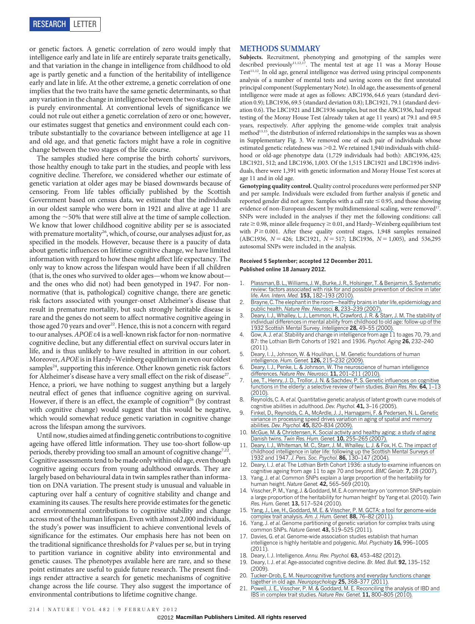or genetic factors. A genetic correlation of zero would imply that intelligence early and late in life are entirely separate traits genetically, and that variation in the change in intelligence from childhood to old age is partly genetic and a function of the heritability of intelligence early and late in life. At the other extreme, a genetic correlation of one implies that the two traits have the same genetic determinants, so that any variation in the change in intelligence between the two stages in life is purely environmental. At conventional levels of significance we could not rule out either a genetic correlation of zero or one; however, our estimates suggest that genetics and environment could each contribute substantially to the covariance between intelligence at age 11 and old age, and that genetic factors might have a role in cognitive change between the two stages of the life course.

The samples studied here comprise the birth cohorts' survivors, those healthy enough to take part in the studies, and people with less cognitive decline. Therefore, we considered whether our estimate of genetic variation at older ages may be biased downwards because of censoring. From life tables officially published by the Scottish Government based on census data, we estimate that the individuals in our oldest sample who were born in 1921 and alive at age 11 are among the  $\sim$  50% that were still alive at the time of sample collection. We know that lower childhood cognitive ability per se is associated with premature mortality<sup>26</sup>, which, of course, our analyses adjust for, as specified in the models. However, because there is a paucity of data about genetic influences on lifetime cognitive change, we have limited information with regard to how these might affect life expectancy. The only way to know across the lifespan would have been if all children (that is, the ones who survived to older ages—whom we know about and the ones who did not) had been genotyped in 1947. For nonnormative (that is, pathological) cognitive change, there are genetic risk factors associated with younger-onset Alzheimer's disease that result in premature mortality, but such strongly heritable disease is rare and the genes do not seem to affect normative cognitive ageing in those aged 70 years and over<sup>22</sup>. Hence, this is not a concern with regard to our analyses.APOE e4 is a well-known risk factor for non-normative cognitive decline, but any differential effect on survival occurs later in life, and is thus unlikely to have resulted in attrition in our cohort. Moreover,APOE is in Hardy–Weinberg equilibrium in even our oldest samples<sup>24</sup>, supporting this inference. Other known genetic risk factors for Alzheimer's disease have a very small effect on the risk of disease<sup>27</sup>. Hence, a priori, we have nothing to suggest anything but a largely neutral effect of genes that influence cognitive ageing on survival. However, if there is an effect, the example of cognition<sup>26</sup> (by contrast with cognitive change) would suggest that this would be negative, which would somewhat reduce genetic variation in cognitive change across the lifespan among the survivors.

Until now, studies aimed atfinding genetic contributions to cognitive ageing have offered little information. They use too-short follow-up periods, thereby providing too small an amount of cognitive change<sup>7,22</sup>. Cognitive assessments tend to be made only within old age, even though cognitive ageing occurs from young adulthood onwards. They are largely based on behavioural data in twin samples rather than information on DNA variation. The present study is unusual and valuable in capturing over half a century of cognitive stability and change and examining its causes. The results here provide estimates for the genetic and environmental contributions to cognitive stability and change across most of the human lifespan. Even with almost 2,000 individuals, the study's power was insufficient to achieve conventional levels of significance for the estimates. Our emphasis here has not been on the traditional significance thresholds for P values per se, but in trying to partition variance in cognitive ability into environmental and genetic causes. The phenotypes available here are rare, and so these point estimates are useful to guide future research. The present findings render attractive a search for genetic mechanisms of cognitive change across the life course. They also suggest the importance of environmental contributions to lifetime cognitive change.

## METHODS SUMMARY

Subjects. Recruitment, phenotyping and genotyping of the samples were described previously<sup>11,12,17</sup>. The mental test at age 11 was a Moray House Test<sup>11,12</sup>. In old age, general intelligence was derived using principal components analysis of a number of mental tests and saving scores on the first unrotated principal component (Supplementary Note). In old age, the assessments of general intelligence were made at ages as follows: ABC1936, 64.6 years (standard deviation 0.9); LBC1936, 69.5 (standard deviation 0.8); LBC1921, 79.1 (standard deviation 0.6). The LBC1921 and LBC1936 samples, but not the ABC1936, had repeat testing of the Moray House Test (already taken at age 11 years) at 79.1 and 69.5 years, respectively. After applying the genome-wide complex trait analysis method13,15, the distribution of inferred relationships in the samples was as shown in Supplementary Fig. 3. We removed one of each pair of individuals whose estimated genetic relatedness was  $>$  0.2. We retained 1,940 individuals with childhood or old-age phenotype data (1,729 individuals had both): ABC1936, 425; LBC1921, 512; and LBC1936, 1,003. Of the 1,515 LBC1921 and LBC1936 individuals, there were 1,391 with genetic information and Moray House Test scores at age 11 and in old age.

Genotyping quality control. Quality control procedures were performed per SNP and per sample. Individuals were excluded from further analysis if genetic and reported gender did not agree. Samples with a call rate  $\leq$  0.95, and those showing evidence of non-European descent by multidimensional scaling, were removed<sup>17</sup> SNPs were included in the analyses if they met the following conditions: call rate  $\geq$  0.98, minor allele frequency  $\geq$  0.01, and Hardy–Weinberg equilibrium test with  $P \ge 0.001$ . After these quality control stages, 1,948 samples remained (ABC1936,  $N = 426$ ; LBC1921,  $N = 517$ ; LBC1936,  $N = 1,005$ ), and 536,295 autosomal SNPs were included in the analysis.

## Received 5 September; accepted 12 December 2011. Published online 18 January 2012.

- 1. [Plassman, B. L., Williams, J. W., Burke, J. R., Holsinger, T. & Benjamin, S. Systematic](https://www.researchgate.net/publication/44673067_Systematic_Review_Factors_Associated_With_Risk_for_and_Possible_Prevention_of_Cognitive_Decline_in_Later_Life?el=1_x_8&enrichId=rgreq-86a6ec318dbf1e049e92d79e3707bf43-XXX&enrichSource=Y292ZXJQYWdlOzIyMTc2MDIyNjtBUzoxMDE5OTkxNzc2MzM4MTBAMTQwMTMyOTkwNzc2NA==) [review: factors associated with risk for and possible prevention of decline in later](https://www.researchgate.net/publication/44673067_Systematic_Review_Factors_Associated_With_Risk_for_and_Possible_Prevention_of_Cognitive_Decline_in_Later_Life?el=1_x_8&enrichId=rgreq-86a6ec318dbf1e049e92d79e3707bf43-XXX&enrichSource=Y292ZXJQYWdlOzIyMTc2MDIyNjtBUzoxMDE5OTkxNzc2MzM4MTBAMTQwMTMyOTkwNzc2NA==) life. Ann. Intern. Med. 153, 182-193 (2010).
- 2. [Brayne, C. The elephant in the room—healthy brains in later life, epidemiology and](https://www.researchgate.net/publication/6506844_The_elephant_in_the_room_-_Healthy_brains_in_later_life_epidemiology_and_public_health?el=1_x_8&enrichId=rgreq-86a6ec318dbf1e049e92d79e3707bf43-XXX&enrichSource=Y292ZXJQYWdlOzIyMTc2MDIyNjtBUzoxMDE5OTkxNzc2MzM4MTBAMTQwMTMyOTkwNzc2NA==) public health. [Nature Rev. Neurosci.](https://www.researchgate.net/publication/6506844_The_elephant_in_the_room_-_Healthy_brains_in_later_life_epidemiology_and_public_health?el=1_x_8&enrichId=rgreq-86a6ec318dbf1e049e92d79e3707bf43-XXX&enrichSource=Y292ZXJQYWdlOzIyMTc2MDIyNjtBUzoxMDE5OTkxNzc2MzM4MTBAMTQwMTMyOTkwNzc2NA==) 8, 233-239 (2007).
- Deary, I. J., Whalley, L. J., Lemmon, H., Crawford, J. R. & Starr, J. M. The stability of [individual differences in mental ability from childhood to old age: follow-up of the](https://www.researchgate.net/publication/222530120_The_Stability_of_Individual_Differences_in_Mental_Ability_from_Childhood_to_Old_Age_Follow-up_of_the_1932_Scottish_Mental_Survey?el=1_x_8&enrichId=rgreq-86a6ec318dbf1e049e92d79e3707bf43-XXX&enrichSource=Y292ZXJQYWdlOzIyMTc2MDIyNjtBUzoxMDE5OTkxNzc2MzM4MTBAMTQwMTMyOTkwNzc2NA==) [1932 Scottish Mental Survey.](https://www.researchgate.net/publication/222530120_The_Stability_of_Individual_Differences_in_Mental_Ability_from_Childhood_to_Old_Age_Follow-up_of_the_1932_Scottish_Mental_Survey?el=1_x_8&enrichId=rgreq-86a6ec318dbf1e049e92d79e3707bf43-XXX&enrichSource=Y292ZXJQYWdlOzIyMTc2MDIyNjtBUzoxMDE5OTkxNzc2MzM4MTBAMTQwMTMyOTkwNzc2NA==) Intelligence 28, 49-55 (2000)
- 4. Gow, A. J. et al. Stability and change in intelligence from age 11 to ages 70, 79, and 87: the Lothian Birth Cohorts of 1921 and 1936. Psychol. Aging 26, 232-240 (2011).
- 5. [Deary, I. J., Johnson, W. & Houlihan, L. M. Genetic foundations of human](https://www.researchgate.net/publication/24208488_Genetic_Foundations_of_Human_Intelligence?el=1_x_8&enrichId=rgreq-86a6ec318dbf1e049e92d79e3707bf43-XXX&enrichSource=Y292ZXJQYWdlOzIyMTc2MDIyNjtBUzoxMDE5OTkxNzc2MzM4MTBAMTQwMTMyOTkwNzc2NA==) intelligence. Hum. Genet. 126, [215–232 \(2009\).](https://www.researchgate.net/publication/24208488_Genetic_Foundations_of_Human_Intelligence?el=1_x_8&enrichId=rgreq-86a6ec318dbf1e049e92d79e3707bf43-XXX&enrichSource=Y292ZXJQYWdlOzIyMTc2MDIyNjtBUzoxMDE5OTkxNzc2MzM4MTBAMTQwMTMyOTkwNzc2NA==)
- Deary, I. J., Penke, L. & Johnson, W. The neuroscience of human intelligence differences. [Nature Rev. Neurosci.](https://www.researchgate.net/publication/41420018_The_neuroscience_of_human_intelligence_differences?el=1_x_8&enrichId=rgreq-86a6ec318dbf1e049e92d79e3707bf43-XXX&enrichSource=Y292ZXJQYWdlOzIyMTc2MDIyNjtBUzoxMDE5OTkxNzc2MzM4MTBAMTQwMTMyOTkwNzc2NA==) 11, 201-211 (2010).
- Lee, T., Henry, J. D., Trollor, J. N. & Sachdev, P. S. Genetic influences on cognitive [functions in the elderly: a selective review of twin studies.](https://www.researchgate.net/publication/41427265_Genetic_influences_on_cognitive_functions_in_the_elderly_A_selective_review_of_twin_studies?el=1_x_8&enrichId=rgreq-86a6ec318dbf1e049e92d79e3707bf43-XXX&enrichSource=Y292ZXJQYWdlOzIyMTc2MDIyNjtBUzoxMDE5OTkxNzc2MzM4MTBAMTQwMTMyOTkwNzc2NA==) Brain Res. Rev.  $64$ ,  $1-13$ [\(2010\).](https://www.researchgate.net/publication/41427265_Genetic_influences_on_cognitive_functions_in_the_elderly_A_selective_review_of_twin_studies?el=1_x_8&enrichId=rgreq-86a6ec318dbf1e049e92d79e3707bf43-XXX&enrichSource=Y292ZXJQYWdlOzIyMTc2MDIyNjtBUzoxMDE5OTkxNzc2MzM4MTBAMTQwMTMyOTkwNzc2NA==)
- 8. Reynolds, C. A. et al. Quantitative genetic analysis of latent growth curve models of cognitive abilities in adulthood. Dev. Psychol. 41, 3-16 (2005).
- 9. [Finkel, D., Reynolds, C. A., McArdle, J. J., Hamagami, F. & Pedersen, N. L. Genetic](https://www.researchgate.net/publication/24399806_Genetic_Variance_in_Processing_Speed_Drives_Variation_in_Aging_of_Spatial_and_Memory_Abilities?el=1_x_8&enrichId=rgreq-86a6ec318dbf1e049e92d79e3707bf43-XXX&enrichSource=Y292ZXJQYWdlOzIyMTc2MDIyNjtBUzoxMDE5OTkxNzc2MzM4MTBAMTQwMTMyOTkwNzc2NA==) [variance in processing speed drives variation in aging of spatial and memory](https://www.researchgate.net/publication/24399806_Genetic_Variance_in_Processing_Speed_Drives_Variation_in_Aging_of_Spatial_and_Memory_Abilities?el=1_x_8&enrichId=rgreq-86a6ec318dbf1e049e92d79e3707bf43-XXX&enrichSource=Y292ZXJQYWdlOzIyMTc2MDIyNjtBUzoxMDE5OTkxNzc2MzM4MTBAMTQwMTMyOTkwNzc2NA==) abilities. Dev. Psychol. 45, [820–834 \(2009\).](https://www.researchgate.net/publication/24399806_Genetic_Variance_in_Processing_Speed_Drives_Variation_in_Aging_of_Spatial_and_Memory_Abilities?el=1_x_8&enrichId=rgreq-86a6ec318dbf1e049e92d79e3707bf43-XXX&enrichSource=Y292ZXJQYWdlOzIyMTc2MDIyNjtBUzoxMDE5OTkxNzc2MzM4MTBAMTQwMTMyOTkwNzc2NA==)
- 10. [McGue, M. & Christensen, K. Social activity and healthy aging: a study of aging](https://www.researchgate.net/publication/6271610_Social_Activity_and_Healthy_Aging_A_Study_of_Aging_Danish_Twins?el=1_x_8&enrichId=rgreq-86a6ec318dbf1e049e92d79e3707bf43-XXX&enrichSource=Y292ZXJQYWdlOzIyMTc2MDIyNjtBUzoxMDE5OTkxNzc2MzM4MTBAMTQwMTMyOTkwNzc2NA==) Danish twins. [Twin Res. Hum. Genet.](https://www.researchgate.net/publication/6271610_Social_Activity_and_Healthy_Aging_A_Study_of_Aging_Danish_Twins?el=1_x_8&enrichId=rgreq-86a6ec318dbf1e049e92d79e3707bf43-XXX&enrichSource=Y292ZXJQYWdlOzIyMTc2MDIyNjtBUzoxMDE5OTkxNzc2MzM4MTBAMTQwMTMyOTkwNzc2NA==) 10, 255–265 (2007).
- 11. [Deary, I. J., Whiteman, M. C., Starr, J. M., Whalley, L. J. & Fox, H. C. The impact of](https://www.researchgate.net/publication/289963138_The_impact_of_childhood_intelligence_on_later_life_Following_up_the_Scottish_Mental_Surveys_of_1932_and_1947?el=1_x_8&enrichId=rgreq-86a6ec318dbf1e049e92d79e3707bf43-XXX&enrichSource=Y292ZXJQYWdlOzIyMTc2MDIyNjtBUzoxMDE5OTkxNzc2MzM4MTBAMTQwMTMyOTkwNzc2NA==) [childhood intelligence in later life: following up the Scottish Mental Surveys of](https://www.researchgate.net/publication/289963138_The_impact_of_childhood_intelligence_on_later_life_Following_up_the_Scottish_Mental_Surveys_of_1932_and_1947?el=1_x_8&enrichId=rgreq-86a6ec318dbf1e049e92d79e3707bf43-XXX&enrichSource=Y292ZXJQYWdlOzIyMTc2MDIyNjtBUzoxMDE5OTkxNzc2MzM4MTBAMTQwMTMyOTkwNzc2NA==) 1932 and 1947. [J. Pers. Soc. Psychol.](https://www.researchgate.net/publication/289963138_The_impact_of_childhood_intelligence_on_later_life_Following_up_the_Scottish_Mental_Surveys_of_1932_and_1947?el=1_x_8&enrichId=rgreq-86a6ec318dbf1e049e92d79e3707bf43-XXX&enrichSource=Y292ZXJQYWdlOzIyMTc2MDIyNjtBUzoxMDE5OTkxNzc2MzM4MTBAMTQwMTMyOTkwNzc2NA==) 86, 130-147 (2004).
- 12. Deary, I. J. et al. The Lothian Birth Cohort 1936: a study to examine influences on cognitive ageing from age 11 to age 70 and beyond. BMC Geriatr. 7, 28 (2007).
- Yang, J. et al. Common SNPs explain a large proportion of the heritability for human height. Nature Genet. 42, 565–569 (2010).
- 14. Visscher, P. M., Yang, J. & Goddard, M. E. A commentary on 'common SNPs explain a large proportion of the heritability for human height' by Yang et al. (2010). Twin Res. Hum. Genet. 13, 517-524 (2010).
- Yang, J., Lee, H., Goddard, M. E. & Visscher, P. M. GCTA: a tool for genome-wide [complex trait analysis.](https://www.researchgate.net/publication/49692212_GCTA_a_tool_for_Genome-wide_Complex_Trait_Analysis?el=1_x_8&enrichId=rgreq-86a6ec318dbf1e049e92d79e3707bf43-XXX&enrichSource=Y292ZXJQYWdlOzIyMTc2MDIyNjtBUzoxMDE5OTkxNzc2MzM4MTBAMTQwMTMyOTkwNzc2NA==) Am. J. Hum. Genet. 88, 76–82 (2011)
- 16. Yang, J. et al. Genome partitioning of genetic variation for complex traits using common SNPs. Nature Genet. 43, 519–525 (2011).
- 17. Davies, G. et al. Genome-wide association studies establish that human intelligence is highly heritable and polygenic. Mol. Psychiatry 16, 996-1005 (2011).
- 18. Deary, I. J. Intelligence. Annu. Rev. Psychol. 63, 453–482 (2012).
- 19. Deary, I. J. et al. Age-associated cognitive decline. Br. Med. Bull. 92, 135–152 (2009).
- 20. [Tucker-Drob, E. M. Neurocognitive functions and everyday functions change](https://www.researchgate.net/publication/50591230_Neurocognitive_Functions_and_Everyday_Functions_Change_Together_in_Old_Age?el=1_x_8&enrichId=rgreq-86a6ec318dbf1e049e92d79e3707bf43-XXX&enrichSource=Y292ZXJQYWdlOzIyMTc2MDIyNjtBUzoxMDE5OTkxNzc2MzM4MTBAMTQwMTMyOTkwNzc2NA==) [together in old age.](https://www.researchgate.net/publication/50591230_Neurocognitive_Functions_and_Everyday_Functions_Change_Together_in_Old_Age?el=1_x_8&enrichId=rgreq-86a6ec318dbf1e049e92d79e3707bf43-XXX&enrichSource=Y292ZXJQYWdlOzIyMTc2MDIyNjtBUzoxMDE5OTkxNzc2MzM4MTBAMTQwMTMyOTkwNzc2NA==) Neuropsychology 25, 368-377 (2011).
- 21. [Powell, J. E., Visscher, P. M. & Goddard, M. E. Reconciling the analysis of IBD and](https://www.researchgate.net/publication/46579430_Reconciling_the_analysis_of_IBD_and_IBS_in_complex_trait_studies?el=1_x_8&enrichId=rgreq-86a6ec318dbf1e049e92d79e3707bf43-XXX&enrichSource=Y292ZXJQYWdlOzIyMTc2MDIyNjtBUzoxMDE5OTkxNzc2MzM4MTBAMTQwMTMyOTkwNzc2NA==) [IBS in complex trait studies.](https://www.researchgate.net/publication/46579430_Reconciling_the_analysis_of_IBD_and_IBS_in_complex_trait_studies?el=1_x_8&enrichId=rgreq-86a6ec318dbf1e049e92d79e3707bf43-XXX&enrichSource=Y292ZXJQYWdlOzIyMTc2MDIyNjtBUzoxMDE5OTkxNzc2MzM4MTBAMTQwMTMyOTkwNzc2NA==) Nature Rev. Genet. 11, 800–805 (2010).